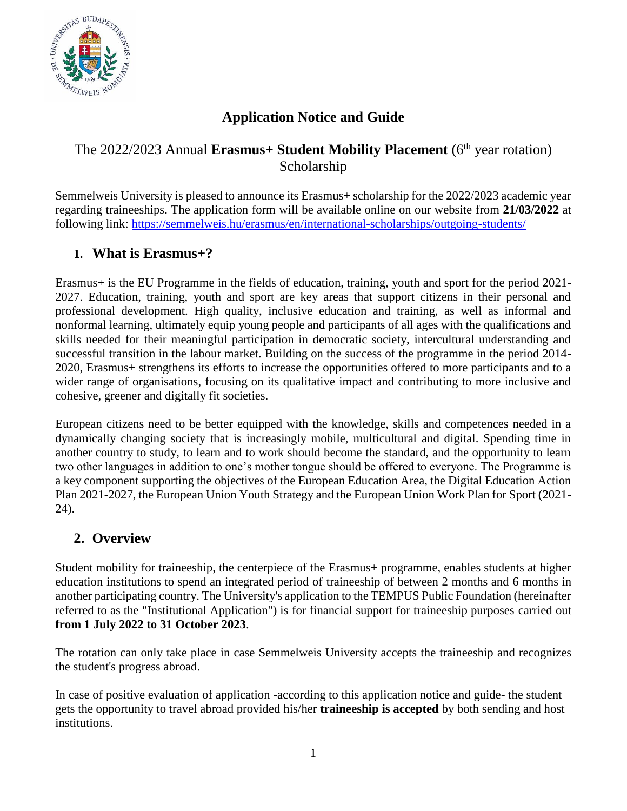

# **Application Notice and Guide**

## The 2022/2023 Annual **Erasmus+ Student Mobility Placement** (6th year rotation) Scholarship

Semmelweis University is pleased to announce its Erasmus+ scholarship for the 2022/2023 academic year regarding traineeships. The application form will be available online on our website from **21/03/2022** at following link:<https://semmelweis.hu/erasmus/en/international-scholarships/outgoing-students/>

### **1. What is Erasmus+?**

Erasmus+ is the EU Programme in the fields of education, training, youth and sport for the period 2021- 2027. Education, training, youth and sport are key areas that support citizens in their personal and professional development. High quality, inclusive education and training, as well as informal and nonformal learning, ultimately equip young people and participants of all ages with the qualifications and skills needed for their meaningful participation in democratic society, intercultural understanding and successful transition in the labour market. Building on the success of the programme in the period 2014- 2020, Erasmus+ strengthens its efforts to increase the opportunities offered to more participants and to a wider range of organisations, focusing on its qualitative impact and contributing to more inclusive and cohesive, greener and digitally fit societies.

European citizens need to be better equipped with the knowledge, skills and competences needed in a dynamically changing society that is increasingly mobile, multicultural and digital. Spending time in another country to study, to learn and to work should become the standard, and the opportunity to learn two other languages in addition to one's mother tongue should be offered to everyone. The Programme is a key component supporting the objectives of the European Education Area, the Digital Education Action Plan 2021-2027, the European Union Youth Strategy and the European Union Work Plan for Sport (2021- 24).

### **2. Overview**

Student mobility for traineeship, the centerpiece of the Erasmus+ programme, enables students at higher education institutions to spend an integrated period of traineeship of between 2 months and 6 months in another participating country. The University's application to the TEMPUS Public Foundation (hereinafter referred to as the "Institutional Application") is for financial support for traineeship purposes carried out **from 1 July 2022 to 31 October 2023**.

The rotation can only take place in case Semmelweis University accepts the traineeship and recognizes the student's progress abroad.

In case of positive evaluation of application -according to this application notice and guide- the student gets the opportunity to travel abroad provided his/her **traineeship is accepted** by both sending and host institutions.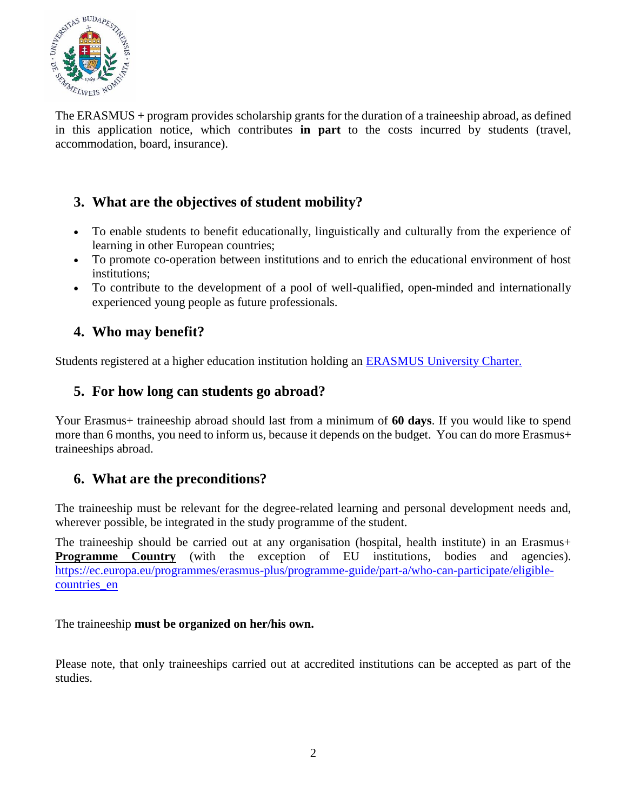

The ERASMUS + program provides scholarship grants for the duration of a traineeship abroad, as defined in this application notice, which contributes **in part** to the costs incurred by students (travel, accommodation, board, insurance).

# **3. What are the objectives of student mobility?**

- To enable students to benefit educationally, linguistically and culturally from the experience of learning in other European countries;
- To promote co-operation between institutions and to enrich the educational environment of host institutions;
- To contribute to the development of a pool of well-qualified, open-minded and internationally experienced young people as future professionals.

## **4. Who may benefit?**

Students registered at a higher education institution holding an [ERASMUS University Charter.](http://semmelweis.hu/erasmus/erasmus/erasmus-extended-university-charter/)

### **5. For how long can students go abroad?**

Your Erasmus+ traineeship abroad should last from a minimum of **60 days**. If you would like to spend more than 6 months, you need to inform us, because it depends on the budget. You can do more Erasmus+ traineeships abroad.

## **6. What are the preconditions?**

The traineeship must be relevant for the degree-related learning and personal development needs and, wherever possible, be integrated in the study programme of the student.

The traineeship should be carried out at any organisation (hospital, health institute) in an Erasmus+ **Programme Country** (with the exception of EU institutions, bodies and agencies). [https://ec.europa.eu/programmes/erasmus-plus/programme-guide/part-a/who-can-participate/eligible](https://ec.europa.eu/programmes/erasmus-plus/programme-guide/part-a/who-can-participate/eligible-countries_en)[countries\\_en](https://ec.europa.eu/programmes/erasmus-plus/programme-guide/part-a/who-can-participate/eligible-countries_en)

The traineeship **must be organized on her/his own.**

Please note, that only traineeships carried out at accredited institutions can be accepted as part of the studies.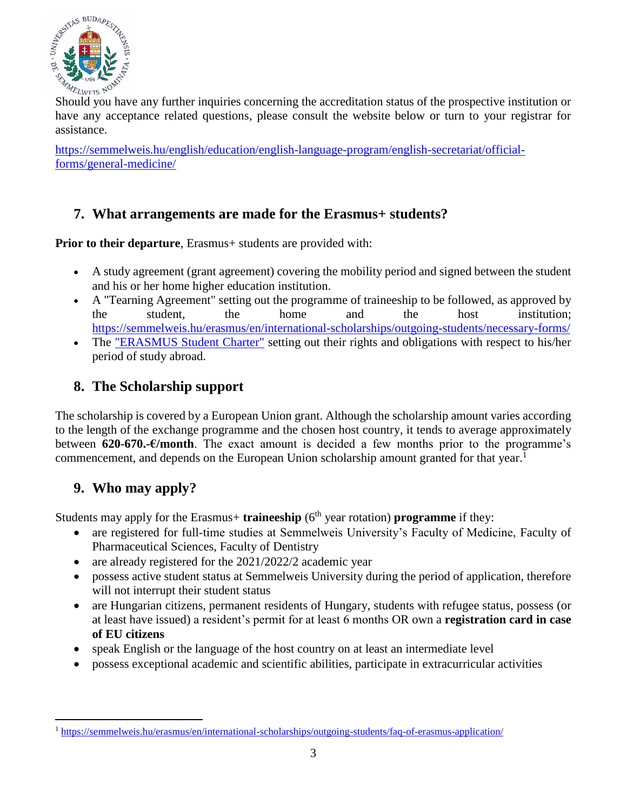

Should you have any further inquiries concerning the accreditation status of the prospective institution or have any acceptance related questions, please consult the website below or turn to your registrar for assistance.

[https://semmelweis.hu/english/education/english-language-program/english-secretariat/official](https://semmelweis.hu/english/education/english-language-program/english-secretariat/official-forms/general-medicine/)[forms/general-medicine/](https://semmelweis.hu/english/education/english-language-program/english-secretariat/official-forms/general-medicine/)

### **7. What arrangements are made for the Erasmus+ students?**

**Prior to their departure**, Erasmus+ students are provided with:

- A study agreement (grant agreement) covering the mobility period and signed between the student and his or her home higher education institution.
- A "Tearning Agreement" setting out the programme of traineeship to be followed, as approved by the student, the home and the host institution; <https://semmelweis.hu/erasmus/en/international-scholarships/outgoing-students/necessary-forms/>
- The ["ERASMUS Student Charter"](http://semmelweis.hu/erasmus/erasmus/erasmus-iranytu/) setting out their rights and obligations with respect to his/her period of study abroad.

### **8. The Scholarship support**

The scholarship is covered by a European Union grant. Although the scholarship amount varies according to the length of the exchange programme and the chosen host country, it tends to average approximately between **620-670.-€/month**. The exact amount is decided a few months prior to the programme's commencement, and depends on the European Union scholarship amount granted for that year.<sup>1</sup>

## **9. Who may apply?**

 $\overline{a}$ 

Students may apply for the Erasmus+ **traineeship** (6<sup>th</sup> year rotation) **programme** if they:

- are registered for full-time studies at Semmelweis University's Faculty of Medicine, Faculty of Pharmaceutical Sciences, Faculty of Dentistry
- are already registered for the 2021/2022/2 academic year
- possess active student status at Semmelweis University during the period of application, therefore will not interrupt their student status
- are Hungarian citizens, permanent residents of Hungary, students with refugee status, possess (or at least have issued) a resident's permit for at least 6 months OR own a **registration card in case of EU citizens**
- speak English or the language of the host country on at least an intermediate level
- possess exceptional academic and scientific abilities, participate in extracurricular activities

<sup>1</sup> <https://semmelweis.hu/erasmus/en/international-scholarships/outgoing-students/faq-of-erasmus-application/>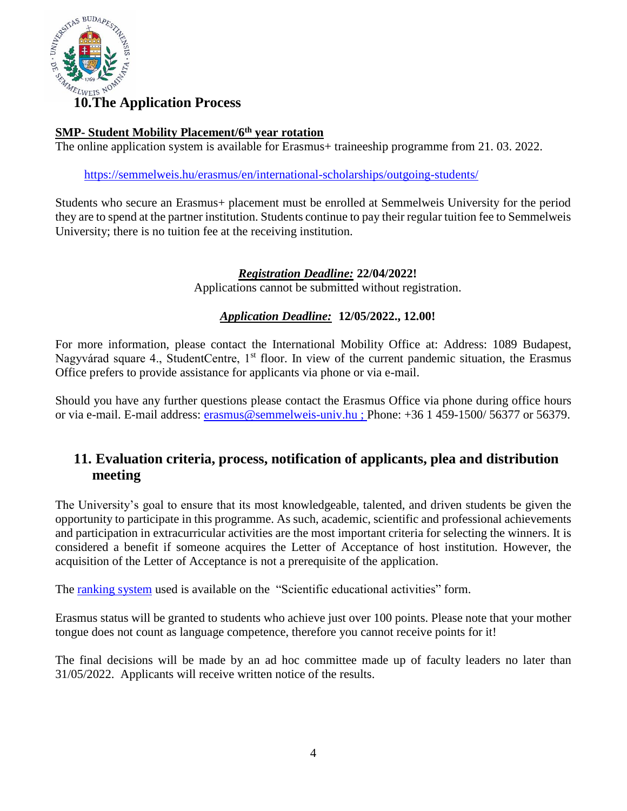

### **SMP- Student Mobility Placement/6 th year rotation**

The online application system is available for Erasmus+ traineeship programme from 21.03.2022.

<https://semmelweis.hu/erasmus/en/international-scholarships/outgoing-students/>

Students who secure an Erasmus+ placement must be enrolled at Semmelweis University for the period they are to spend at the partner institution. Students continue to pay their regular tuition fee to Semmelweis University; there is no tuition fee at the receiving institution.

### *Registration Deadline:* **22/04/2022!**

Applications cannot be submitted without registration.

### *Application Deadline:* **12/05/2022., 12.00!**

For more information, please contact the International Mobility Office at: Address: 1089 Budapest, Nagyvárad square 4., StudentCentre, 1<sup>st</sup> floor. In view of the current pandemic situation, the Erasmus Office prefers to provide assistance for applicants via phone or via e-mail.

Should you have any further questions please contact the Erasmus Office via phone during office hours or via e-mail. E-mail address: [erasmus@semmelweis-univ.hu](mailto:erasmus@semmelweis-univ.hu) ; Phone: +36 1 459-1500/ 56377 or 56379.

### **11. Evaluation criteria, process, notification of applicants, plea and distribution meeting**

The University's goal to ensure that its most knowledgeable, talented, and driven students be given the opportunity to participate in this programme. As such, academic, scientific and professional achievements and participation in extracurricular activities are the most important criteria for selecting the winners. It is considered a benefit if someone acquires the Letter of Acceptance of host institution. However, the acquisition of the Letter of Acceptance is not a prerequisite of the application.

The [ranking system](https://semmelweis.hu/erasmus/en/international-scholarships/outgoing-students/faq-of-erasmus-application/) used is available on the "Scientific educational activities" form.

Erasmus status will be granted to students who achieve just over 100 points. Please note that your mother tongue does not count as language competence, therefore you cannot receive points for it!

The final decisions will be made by an ad hoc committee made up of faculty leaders no later than 31/05/2022. Applicants will receive written notice of the results.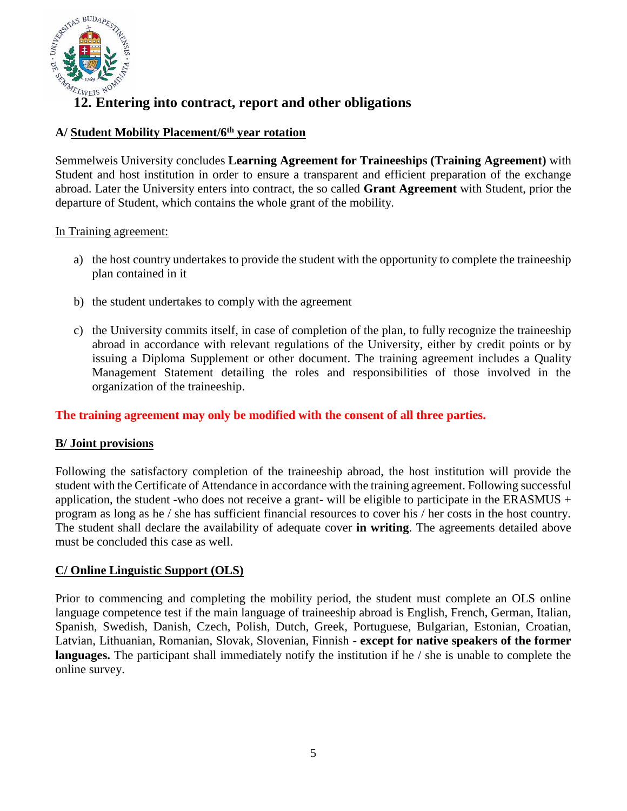

## **12. Entering into contract, report and other obligations**

### **A/ Student Mobility Placement/6th year rotation**

Semmelweis University concludes **Learning Agreement for Traineeships (Training Agreement)** with Student and host institution in order to ensure a transparent and efficient preparation of the exchange abroad. Later the University enters into contract, the so called **Grant Agreement** with Student, prior the departure of Student, which contains the whole grant of the mobility.

#### In Training agreement:

- a) the host country undertakes to provide the student with the opportunity to complete the traineeship plan contained in it
- b) the student undertakes to comply with the agreement
- c) the University commits itself, in case of completion of the plan, to fully recognize the traineeship abroad in accordance with relevant regulations of the University, either by credit points or by issuing a Diploma Supplement or other document. The training agreement includes a Quality Management Statement detailing the roles and responsibilities of those involved in the organization of the traineeship.

**The training agreement may only be modified with the consent of all three parties.**

#### **B/ Joint provisions**

Following the satisfactory completion of the traineeship abroad, the host institution will provide the student with the Certificate of Attendance in accordance with the training agreement. Following successful application, the student -who does not receive a grant- will be eligible to participate in the ERASMUS + program as long as he / she has sufficient financial resources to cover his / her costs in the host country. The student shall declare the availability of adequate cover **in writing**. The agreements detailed above must be concluded this case as well.

#### **C/ Online Linguistic Support (OLS)**

Prior to commencing and completing the mobility period, the student must complete an OLS online language competence test if the main language of traineeship abroad is English, French, German, Italian, Spanish, Swedish, Danish, Czech, Polish, Dutch, Greek, Portuguese, Bulgarian, Estonian, Croatian, Latvian, Lithuanian, Romanian, Slovak, Slovenian, Finnish - **except for native speakers of the former languages.** The participant shall immediately notify the institution if he / she is unable to complete the online survey.